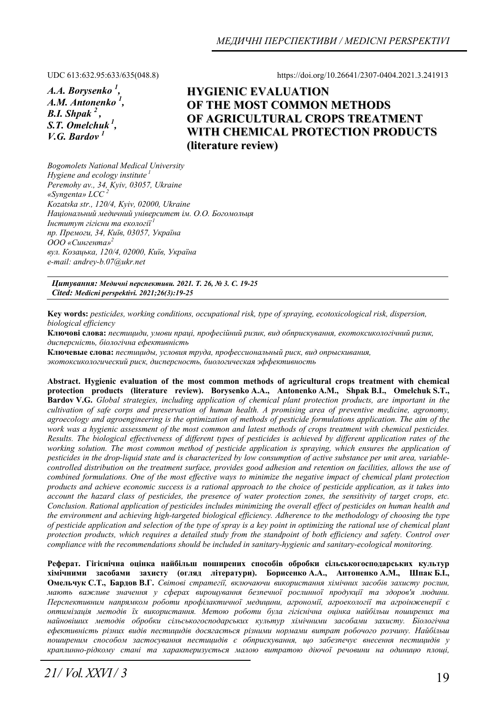*А.А. Borysenko 1 , А.М. Antonenko <sup>1</sup> , B.I. Shpak 2 , S.Т. Omelchuk 1, V.G. Bardov 1* 

UDC 613:632.95:633/635(048.8) https://doi.org/10.26641/2307-0404.2021.3.241913

# **HYGIENIC EVALUATION OF THE MOST COMMON METHODS OF AGRICULTURAL CROPS TREATMENT WITH CHEMICAL PROTECTION PRODUCTS (literature review)**

*Bogomolets National Medical University Hygiene and ecology institute<sup>1</sup> Peremohy av., 34, Kyiv, 03057, Ukraine «Syngenta» LCC <sup>2</sup> Kozatska str., 120/4, Kyiv, 02000, Ukraine Національний медичний університет ім. О.О. Богомольця Інститут гігієни та екології<sup>1</sup> пр. Премоги, 34, Київ, 03057, Україна ООО «Сингента»<sup>2</sup> вул. Козацька, 120/4, 02000, Київ, Україна e-mail: andrey-b.07@ukr.net* 

*Цитування: Медичні перспективи. 2021. Т. 26, № 3. С. 19-25 Cited: Medicni perspektivi. 2021;26(3):19-25*

**Key words:** *pesticides, working conditions, occupational risk, type of spraying, ecotoxicological risk, dispersion, biological efficiency* 

**Ключові слова:** *пестициди, умови праці, професійний ризик, вид обприскування, екотоксикологічний ризик, дисперсність, біологічна ефективність*

**Ключевые слова:** *пестициды, условия труда, профессиональный риск, вид опрыскивания, экотоксикологический риск, дисперсность, биологическая эффективность*

**Abstract. Hygienic evaluation of the most common methods of agricultural crops treatment with chemical protection products (literature review). Borysenko А.А., Antonenko А.М., Shpak B.I., Omelchuk S.Т., Bardov V.G.** *Global strategies, including application of chemical plant protection products, are important in the cultivation of safe corps and preservation of human health. A promising area of preventive medicine, agronomy, agroecology and agroengineering is the optimization of methods of pesticide formulations application. The aim of the work was a hygienic assessment of the most common and latest methods of crops treatment with chemical pesticides. Results. The biological effectiveness of different types of pesticides is achieved by different application rates of the working solution. The most common method of pesticide application is spraying, which ensures the application of pesticides in the drop-liquid state and is characterized by low consumption of active substance per unit area, variablecontrolled distribution on the treatment surface, provides good adhesion and retention on facilities, allows the use of combined formulations. One of the most effective ways to minimize the negative impact of chemical plant protection products and achieve economic success is a rational approach to the choice of pesticide application, as it takes into account the hazard class of pesticides, the presence of water protection zones, the sensitivity of target crops, etc. Conclusion. Rational application of pesticides includes minimizing the overall effect of pesticides on human health and the environment and achieving high-targeted biological efficiency. Adherence to the methodology of choosing the type of pesticide application and selection of the type of spray is a key point in optimizing the rational use of chemical plant protection products, which requires a detailed study from the standpoint of both efficiency and safety. Control over compliance with the recommendations should be included in sanitary-hygienic and sanitary-ecological monitoring.* 

**Реферат. Гігієнічна оцінка найбільш поширених способів обробки сільськогосподарських культур** хімічними засобами захисту (огляд літератури). Борисенко А.А., Антоненко А.М., Шпак Б.І., Омельчук С.Т., Бардов В.Г. Світові стратегії, включаючи використання хімічних засобів захисту рослин, *мають важливе значення у сферах вирощування безпечної рослинної продукції та здоров'я людини. Перспективним напрямком роботи профілактичної медицини, агрономії, агроекології та агроінженерії є оптимізація методів їх використання. Метою роботи була гігієнічна оцінка найбільш поширених та найновіших методів обробки сільськогосподарських культур хімічними засобами захисту. Біологічна ефективність різних видів пестицидів досягається різними нормами витрат робочого розчину. Найбільш поширеним способом застосування пестицидів є обприскування, що забезпечує внесення пестицидів у краплинно-рідкому стані та характеризується малою витратою діючої речовини на одиницю площі,*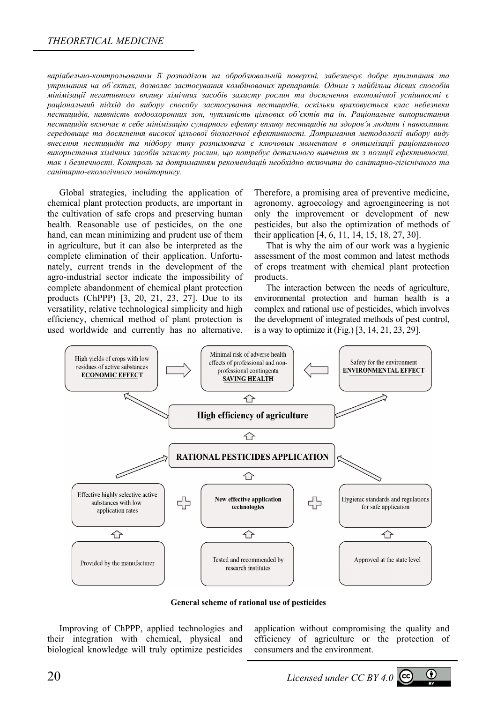### *THEORETICAL MEDICINE*

*варіабельно-контрольованим її розподілом на оброблювальній поверхні, забезпечує добре прилипання та утримання на об`єктах, дозволяє застосування комбінованих препаратів. Одним з найбільш дієвих способів мінімізації негативного впливу хімічних засобів захисту рослин та досягнення економічної успішності є раціональний підхід до вибору способу застосування пестицидів, оскільки враховується клас небезпеки пестицидів, наявність водоохоронних зон, чутливість цільових об'єктів та ін. Раціональне використання пестицидів включає в себе мінімізацію сумарного ефекту впливу пестицидів на здоров'я людини і навколишнє середовище та досягнення високої цільової біологічної ефективності. Дотримання методології вибору виду внесення пестицидів та підбору типу розпилювача є ключовим моментом в оптимізації раціонального використання хімічних засобів захисту рослин, що потребує детального вивчення як з позиції ефективності, так і безпечності. Контроль за дотриманням рекомендацій необхідно включити до санітарно-гігієнічного та санітарно-екологічного моніторингу.* 

Global strategies, including the application of chemical plant protection products, are important in the cultivation of safe crops and preserving human health. Reasonable use of pesticides, on the one hand, can mean minimizing and prudent use of them in agriculture, but it can also be interpreted as the complete elimination of their application. Unfortunately, current trends in the development of the agro-industrial sector indicate the impossibility of complete abandonment of chemical plant protection products (ChPPP) [3, 20, 21, 23, 27]. Due to its versatility, relative technological simplicity and high efficiency, chemical method of plant protection is used worldwide and currently has no alternative.

Therefore, a promising area of preventive medicine, agronomy, agroecology and agroengineering is not only the improvement or development of new pesticides, but also the optimization of methods of their application [4, 6, 11, 14, 15, 18, 27, 30].

That is why the aim of our work was a hygienic assessment of the most common and latest methods of crops treatment with chemical plant protection products.

The interaction between the needs of agriculture, environmental protection and human health is a complex and rational use of pesticides, which involves the development of integrated methods of pest control, is a way to optimize it (Fig.) [3, 14, 21, 23, 29].



**General scheme of rational use of pesticides** 

Improving of ChPPP, applied technologies and their integration with chemical, physical and biological knowledge will truly optimize pesticides

application without compromising the quality and efficiency of agriculture or the protection of consumers and the environment.

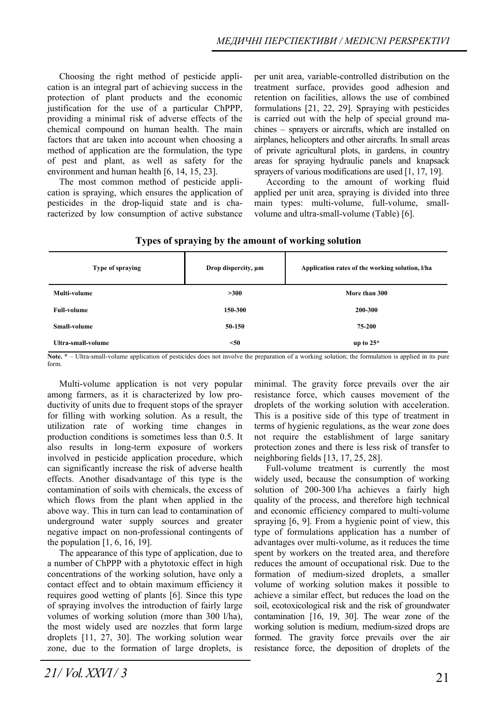Choosing the right method of pesticide application is an integral part of achieving success in the protection of plant products and the economic justification for the use of a particular ChPPP, providing a minimal risk of adverse effects of the chemical compound on human health. The main factors that are taken into account when choosing a method of application are the formulation, the type of pest and plant, as well as safety for the environment and human health [6, 14, 15, 23].

The most common method of pesticide application is spraying, which ensures the application of pesticides in the drop-liquid state and is characterized by low consumption of active substance

per unit area, variable-controlled distribution on the treatment surface, provides good adhesion and retention on facilities, allows the use of combined formulations [21, 22, 29]. Spraying with pesticides is carried out with the help of special ground machines – sprayers or aircrafts, which are installed on airplanes, helicopters and other aircrafts. In small areas of private agricultural plots, in gardens, in country areas for spraying hydraulic panels and knapsack sprayers of various modifications are used [1, 17, 19].

According to the amount of working fluid applied per unit area, spraying is divided into three main types: multi-volume, full-volume, smallvolume and ultra-small-volume (Table) [6].

|  | Types of spraying by the amount of working solution |  |
|--|-----------------------------------------------------|--|
|  |                                                     |  |

| Type of spraying    | Drop dispercity, µm | Application rates of the working solution, I/ha |  |
|---------------------|---------------------|-------------------------------------------------|--|
| Multi-volume        | >300                | More than 300                                   |  |
| <b>Full-volume</b>  | 150-300             | 200-300                                         |  |
| <b>Small-volume</b> | 50-150              | 75-200                                          |  |
| Ultra-small-volume  | $50$                | up to $25^*$                                    |  |

**Note.** \* – Ultra-small-volume application of pesticides does not involve the preparation of a working solution; the formulation is applied in its pure form.

Multi-volume application is not very popular among farmers, as it is characterized by low productivity of units due to frequent stops of the sprayer for filling with working solution. As a result, the utilization rate of working time changes in production conditions is sometimes less than 0.5. It also results in long-term exposure of workers involved in pesticide application procedure, which can significantly increase the risk of adverse health effects. Another disadvantage of this type is the contamination of soils with chemicals, the excess of which flows from the plant when applied in the above way. This in turn can lead to contamination of underground water supply sources and greater negative impact on non-professional contingents of the population [1, 6, 16, 19].

The appearance of this type of application, due to a number of ChPPP with a phytotoxic effect in high concentrations of the working solution, have only a contact effect and to obtain maximum efficiency it requires good wetting of plants [6]. Since this type of spraying involves the introduction of fairly large volumes of working solution (more than 300 l/ha), the most widely used are nozzles that form large droplets [11, 27, 30]. The working solution wear zone, due to the formation of large droplets, is

minimal. The gravity force prevails over the air resistance force, which causes movement of the droplets of the working solution with acceleration. This is a positive side of this type of treatment in terms of hygienic regulations, as the wear zone does not require the establishment of large sanitary protection zones and there is less risk of transfer to neighboring fields [13, 17, 25, 28].

Full-volume treatment is currently the most widely used, because the consumption of working solution of 200-300 l/ha achieves a fairly high quality of the process, and therefore high technical and economic efficiency compared to multi-volume spraying [6, 9]. From a hygienic point of view, this type of formulations application has a number of advantages over multi-volume, as it reduces the time spent by workers on the treated area, and therefore reduces the amount of occupational risk. Due to the formation of medium-sized droplets, a smaller volume of working solution makes it possible to achieve a similar effect, but reduces the load on the soil, ecotoxicological risk and the risk of groundwater contamination [16, 19, 30]. The wear zone of the working solution is medium, medium-sized drops are formed. The gravity force prevails over the air resistance force, the deposition of droplets of the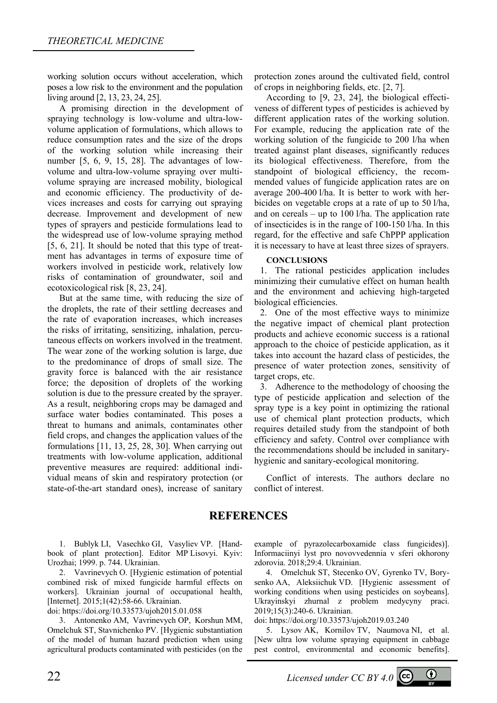working solution occurs without acceleration, which poses a low risk to the environment and the population living around [2, 13, 23, 24, 25].

A promising direction in the development of spraying technology is low-volume and ultra-lowvolume application of formulations, which allows to reduce consumption rates and the size of the drops of the working solution while increasing their number [5, 6, 9, 15, 28]. The advantages of lowvolume and ultra-low-volume spraying over multivolume spraying are increased mobility, biological and economic efficiency. The productivity of devices increases and costs for carrying out spraying decrease. Improvement and development of new types of sprayers and pesticide formulations lead to the widespread use of low-volume spraying method [5, 6, 21]. It should be noted that this type of treatment has advantages in terms of exposure time of workers involved in pesticide work, relatively low risks of contamination of groundwater, soil and ecotoxicological risk [8, 23, 24].

But at the same time, with reducing the size of the droplets, the rate of their settling decreases and the rate of evaporation increases, which increases the risks of irritating, sensitizing, inhalation, percutaneous effects on workers involved in the treatment. The wear zone of the working solution is large, due to the predominance of drops of small size. The gravity force is balanced with the air resistance force; the deposition of droplets of the working solution is due to the pressure created by the sprayer. As a result, neighboring crops may be damaged and surface water bodies contaminated. This poses a threat to humans and animals, contaminates other field crops, and changes the application values of the formulations [11, 13, 25, 28, 30]. When carrying out treatments with low-volume application, additional preventive measures are required: additional individual means of skin and respiratory protection (or state-of-the-art standard ones), increase of sanitary

protection zones around the cultivated field, control of crops in neighboring fields, etc. [2, 7].

According to [9, 23, 24], the biological effectiveness of different types of pesticides is achieved by different application rates of the working solution. For example, reducing the application rate of the working solution of the fungicide to 200 l/ha when treated against plant diseases, significantly reduces its biological effectiveness. Therefore, from the standpoint of biological efficiency, the recommended values of fungicide application rates are on average 200-400 l/ha. It is better to work with herbicides on vegetable crops at a rate of up to 50 l/ha, and on cereals – up to  $100$  l/ha. The application rate of insecticides is in the range of 100-150 l/ha. In this regard, for the effective and safe ChPPP application it is necessary to have at least three sizes of sprayers.

#### **CONCLUSIONS**

1. The rational pesticides application includes minimizing their cumulative effect on human health and the environment and achieving high-targeted biological efficiencies.

2. One of the most effective ways to minimize the negative impact of chemical plant protection products and achieve economic success is a rational approach to the choice of pesticide application, as it takes into account the hazard class of pesticides, the presence of water protection zones, sensitivity of target crops, etc.

3. Adherence to the methodology of choosing the type of pesticide application and selection of the spray type is a key point in optimizing the rational use of chemical plant protection products, which requires detailed study from the standpoint of both efficiency and safety. Control over compliance with the recommendations should be included in sanitaryhygienic and sanitary-ecological monitoring.

Conflict of interests. The authors declare no conflict of interest.

## **REFERENCES**

1. Bublyk LI, Vasechko GI, Vasylіev VP. [Handbook of plant protection]. Editor MP Lisovyi. Kyiv: Urozhai; 1999. p. 744. Ukrainian.

2. Vavrinevych O. [Hygienic estimation of potential combined risk of mixed fungicide harmful effects on workers]. Ukrainian journal of occupational health, [Internet]. 2015;1(42):58-66. Ukrainian.

doi: https://doi.org/10.33573/ujoh2015.01.058

3. Antonenko AM, Vavrinevych OP, Korshun MM, Omelchuk ST, Stavnichenko PV. [Hygienic substantiation of the model of human hazard prediction when using agricultural products contaminated with pesticides (on the

example of pyrazolecarboxamide class fungicides)]. Informaciinyi lyst pro novovvedennia v sferi okhorony zdorovia. 2018;29:4. Ukrainian.

4. Omelchuk ST, Stecenko OV, Gyrenko TV, Borysenko AA, Aleksiichuk VD. [Hygienic assessment of working conditions when using pesticides on soybeans]. Ukrayinskyi zhurnal z problem medycyny praci. 2019;15(3):240-6. Ukrainian.

doi: https://doi.org/10.33573/ujoh2019.03.240

5. Lysov AK, Kornilov TV, Naumova NI, et al. [New ultra low volume spraying equipment in cabbage pest control, environmental and economic benefits].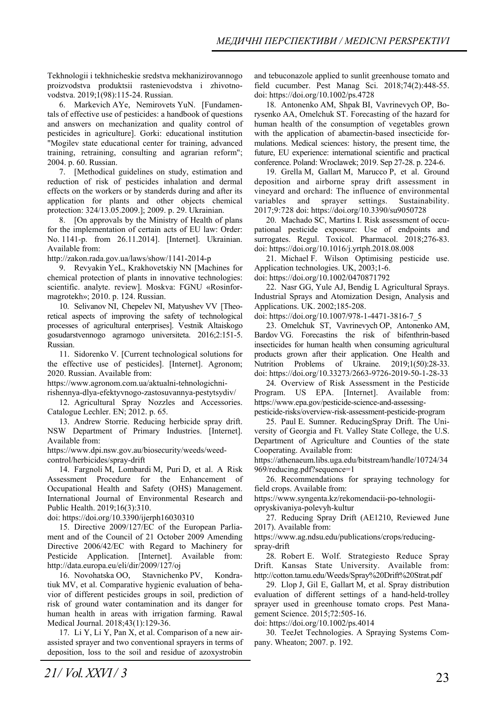Tekhnologii i tekhnicheskie sredstva mekhanizirovannogo proizvodstva produktsii rastenievodstva i zhivotnovodstva. 2019;1(98):115-24. Russian.

6. Markevich AYe, Nemirovets YuN. [Fundamentals of effective use of pesticides: a handbook of questions and answers on mechanization and quality control of pesticides in agriculture]. Gorki: educational institution "Mogilev state educational center for training, advanced training, retraining, consulting and agrarian reform"; 2004. p. 60. Russian.

7. [Methodical guidelines on study, estimation and reduction of risk of pesticides inhalation and dermal effects on the workers or by standerds during and after its application for plants and other objects chemical protection: 324/13.05.2009.]; 2009. p. 29. Ukrainian.

8. [On approvals by the Ministry of Health of plans for the implementation of certain acts of EU law: Order: No. 1141-р. from 26.11.2014]. [Internet]. Ukrainian. Available from:

http://zakon.rada.gov.ua/laws/show/1141-2014-р

9. Revyakin YeL, Krakhovetskiy NN [Machines for chemical protection of plants in innovative technologies: scientific. analyte. review]. Moskva: FGNU «Rosinformagrotekh»; 2010. p. 124. Russian.

10. Selivanov NI, Chepelev NI, Matyushev VV [Theoretical aspects of improving the safety of technological processes of agricultural enterprises]. Vestnik Altaiskogo gosudarstvennogo agrarnogo universiteta. 2016;2:151-5. Russian.

11. Sidorenko V. [Current technological solutions for the effective use of pesticides]. [Internet]. Agronom; 2020. Russian. Available from:

https://www.agronom.com.ua/aktualni-tehnologichni-

rishennya-dlya-efektyvnogo-zastosuvannya-pestytsydiv/ 12. Agricultural Spray Nozzles and Accessories. Catalogue Lechler. EN; 2012. p. 65.

13. Andrew Storrie. Reducing herbicide spray drift. NSW Department of Primary Industries. [Internet]. Available from:

https://www.dpi.nsw.gov.au/biosecurity/weeds/weedcontrol/herbicides/spray-drift

14. Fargnoli M, Lombardi M, Puri D, et al. A Risk Assessment Procedure for the Enhancement of Occupational Health and Safety (OHS) Management. International Journal of Environmental Research and Public Health. 2019;16(3):310.

doi: https://doi.org/10.3390/ijerph16030310

15. Directive 2009/127/EC of the European Parliament and of the Council of 21 October 2009 Amending Directive 2006/42/EC with Regard to Machinery for Pesticide Application. [Internet]. Available from: http://data.europa.eu/eli/dir/2009/127/oj

16. Novohatska OO, Stavnichenko PV, Kondratiuk MV, et al. Comparative hygienic evaluation of behavior of different pesticides groups in soil, prediction of risk of ground water contamination and its danger for human health in areas with irrigation farming. Rawal Medical Journal. 2018;43(1):129-36.

17. Li Y, Li Y, Pan X, et al. Comparison of a new airassisted sprayer and two conventional sprayers in terms of deposition, loss to the soil and residue of azoxystrobin and tebuconazole applied to sunlit greenhouse tomato and field cucumber. Pest Manag Sci. 2018;74(2):448-55. doi: https://doi.org/10.1002/ps.4728

18. Antonenko AM, Shpak BI, Vavrinevych OP, Borysenko AA, Omelchuk ST. Forecasting of the hazard for human health of the consumption of vegetables grown with the application of abamectin-based insecticide formulations. Medical sciences: history, the present time, the future, EU experience: international scientific and practical conference. Poland: Wroclawek; 2019. Sep 27-28. p. 224-6.

19. Grella M, Gallart M, Marucco P, et al. Ground deposition and airborne spray drift assessment in vineyard and orchard: The influence of environmental variables and sprayer settings. Sustainability. 2017;9:728 doi: https://doi.org/10.3390/su9050728

20. Machado SC, Martins I. Risk assessment of occupational pesticide exposure: Use of endpoints and surrogates. Regul. Toxicol. Pharmacol. 2018;276-83. doi: https://doi.org/10.1016/j.yrtph.2018.08.008

21. Michael F. Wilson Optimising pesticide use. Application technologies. UK, 2003;1-6.

doi: https://doi.org/10.1002/0470871792

22. Nasr GG, Yule AJ, Bendig L Agricultural Sprays. Industrial Sprays and Atomization Design, Analysis and Applications. UK. 2002;185-208.

doi: https://doi.org/10.1007/978-1-4471-3816-7\_5

23. Omelchuk SТ, Vavrinevych ОP, Antonenko АМ, Bardov VG. Forecastins the risk of bifenthrin-based insecticides for human health when consuming agricultural products grown after their application. One Health and Nutrition Problems of Ukraine. 2019;1(50):28-33. doi: https://doi.org/10.33273/2663-9726-2019-50-1-28-33

24. Overview of Risk Assessment in the Pesticide Program. US EPA. [Internet]. Available from: https://www.epa.gov/pesticide-science-and-assessingpesticide-risks/overview-risk-assessment-pesticide-program

25. Paul E. Sumner. ReducingSpray Drift. The University of Georgia and Ft. Valley State College, the U.S. Department of Agriculture and Counties of the state Cooperating. Available from:

https://athenaeum.libs.uga.edu/bitstream/handle/10724/34 969/reducing.pdf?sequence=1

26. Recommendations for spraying technology for field crops. Available from:

https://www.syngenta.kz/rekomendacii-po-tehnologii-

opryskivaniya-polevyh-kultur

27. Reducing Spray Drift (AE1210, Reviewed June 2017). Available from:

https://www.ag.ndsu.edu/publications/crops/reducingspray-drift

28. Robert E. Wolf. Strategiesto Reduce Spray Drift. Kansas State University. Available from: http://cotton.tamu.edu/Weeds/Spray%20Drift%20Strat.pdf

29. Llop J, Gil E, Gallart M, et al. Spray distribution evaluation of different settings of a hand‐held‐trolley sprayer used in greenhouse tomato crops. Pest Management Science. 2015;72:505-16.

doi: https://doi.org/10.1002/ps.4014

30. TeeJet Technologies. A Spraying Systems Company. Wheaton; 2007. p. 192.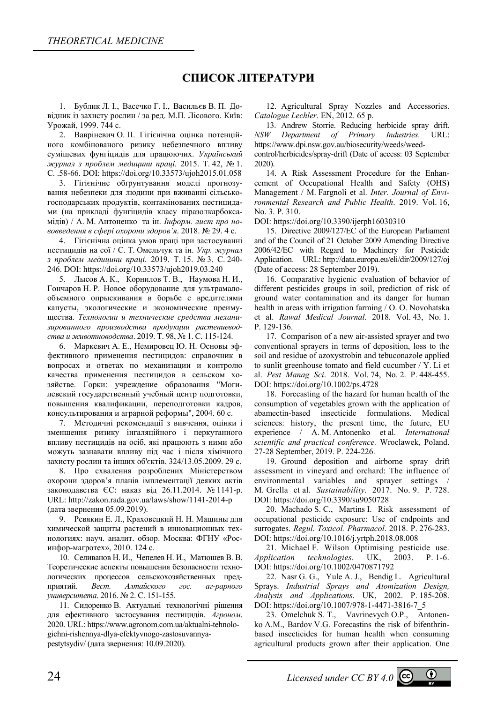## **СПИСОК ЛІТЕРАТУРИ**

1. Бублик Л. І., Васечко Г. І., Васильєв В. П. Довідник із захисту рослин / за ред. М.П. Лісового. Київ: Урожай, 1999. 744 c.

2. Вавріневич О. П. Гігієнічна оцінка потенційного комбінованого ризику небезпечного впливу сумішевих фунгіцидів для працюючих. *Український журнал з проблем медицини праці.* 2015. Т. 42, № 1. С. .58-66. DOI: https://doi.org/10.33573/ujoh2015.01.058

3. Гігієнічне обґрунтування моделі прогнозування небезпеки для людини при вживанні сільськогосподарських продуктів, контамінованих пестицидами (на прикладі фунгіцидів класу піразолкарбоксамідів) / А. М. Aнтоненко та ін. *Інформ. лист про нововведення в сфері охорони здоров'я*. 2018. № 29. 4 с.

4. Гігієнічна оцінка умов праці при застосуванні пестицидів на сої / С. Т. Омельчук та ін. *Укр. журнал з проблем медицини праці.* 2019. Т. 15. № 3. С. 240- 246. DOI: https://doi.org/10.33573/ujoh2019.03.240

5. Лысов А. К., Корнилов Т. В., Наумова Н. И., Гончаров Н. Р. Новое оборудование для ультрамалообъемного опрыскивания в борьбе с вредителями капусты, экологические и экономические преимущества. *Технологии и технические средства механизированного производства продукции растениеводства и животноводства*. 2019. Т. 98, № 1. С. 115-124.

6. Маркевич А. Е., Немировец Ю. Н. Основы эффективного применения пестицидов: cправочник в вопросах и ответах по механизации и контролю качества применения пестицидов в сельском хозяйстве. Горки: учреждение образования "Могилевский государственный учебный центр подготовки, повышения квалификации, переподготовки кадров, консультирования и аграрной реформы", 2004. 60 с.

7. Методичні рекомендації з вивчення, оцінки і зменшення ризику інгаляційного і перкутанного впливу пестицидів на осіб, які працюють з ними або можуть зазнавати впливу під час і після хімічного захисту рослин та інших об'єктів. 324/13.05.2009. 29 с.

8. Про схвалення розроблених Міністерством охорони здоров'я планів імплементації деяких актів законодавства ЄС: наказ від 26.11.2014. № 1141-р. URL: http://zakon.rada.gov.ua/laws/show/1141-2014-р (дата звернення 05.09.2019).

9. Ревякин Е. Л., Краховецкий Н. Н. Машины для химической защиты растений в инновационных технологиях: науч. аналит. обзор. Москва: ФГНУ «Росинфор-магротех», 2010. 124 с.

10. Селиванов Н. И., Чепелев Н. И., Матюшев В. В. Теоретические аспекты повышения безопасности технологических процессов сельскохозяйственных предприятий. *Вест. Алтайского гос. аг-рарного университета*. 2016. № 2. С. 151-155.

11. Сидоренко В. Актуальні технологічні рішення для ефективного застосування пестицидів. *Агроном*. 2020. URL: https://www.agronom.com.ua/aktualni-tehnologichni-rishennya-dlya-efektyvnogo-zastosuvannyapestytsydiv/ (дата звернення: 10.09.2020).

12. Agricultural Spray Nozzles and Accessories. *Catalogue Lechler*. EN, 2012. 65 p.

13. Andrew Storrie. Reducing herbicide spray drift. *NSW Department of Primary Industries*. URL: https://www.dpi.nsw.gov.au/biosecurity/weeds/weed-

control/herbicides/spray-drift (Date of access: 03 September 2020).

14. A Risk Assessment Procedure for the Enhancement of Occupational Health and Safety (OHS) Management / M. Fargnoli et al. *Inter. Journal of Environmental Research and Public Health*. 2019. Vol. 16, No. 3. Р. 310.

DOI: https://doi.org/10.3390/ijerph16030310

15. Directive 2009/127/EC of the European Parliament and of the Council of 21 October 2009 Amending Directive 2006/42/EC with Regard to Machinery for Pesticide Application. URL: http://data.europa.eu/eli/dir/2009/127/oj (Date of access: 28 September 2019).

16. Comparative hygienic evaluation of behavior of different pesticides groups in soil, prediction of risk of ground water contamination and its danger for human health in areas with irrigation farming / O. O. Novohatska et al. *Rawal Medical Journal*. 2018. Vol. 43, No. 1. Р. 129-136.

17. Comparison of a new air-assisted sprayer and two conventional sprayers in terms of deposition, loss to the soil and residue of azoxystrobin and tebuconazole applied to sunlit greenhouse tomato and field cucumber / Y. Li et al. *Pest Manag Sci*. 2018. Vol. 74, No. 2. Р. 448-455. DOI: https://doi.org/10.1002/ps.4728

18. Forecasting of the hazard for human health of the consumption of vegetables grown with the application of abamectin-based insecticide formulations. Medical sciences: history, the present time, the future, EU experience / A. M. Antonenko et al. *International scientific and practical conference.* Wroclawek, Poland. 27-28 September, 2019. P. 224-226.

19. Ground deposition and airborne spray drift assessment in vineyard and orchard: The influence of environmental variables and sprayer settings / M. Grella et al. *Sustainability*. 2017. No. 9. Р. 728. DOI: https://doi.org/10.3390/su9050728

20. Machado S. C., Martins I. Risk assessment of occupational pesticide exposure: Use of endpoints and surrogates. *Regul. Toxicol. Pharmacol*. 2018. Р. 276-283. DOI: https://doi.org/10.1016/j.yrtph.2018.08.008

21. Michael F. Wilson Optimising pesticide use. *Application technologies*. UK, 2003. P. 1-6. DOI: https://doi.org/10.1002/0470871792

22. Nasr G. G., Yule A. J., Bendig L. Agricultural Sprays. *Industrial Sprays and Atomization Design, Analysis and Applications*. UK, 2002. P. 185-208. DOI: https://doi.org/10.1007/978-1-4471-3816-7\_5

23. Omelchuk S. Т., Vavrinevych О.P., Antonenko А.М., Bardov V.G. Forecastins the risk of bifenthrinbased insecticides for human health when consuming agricultural products grown after their application. One